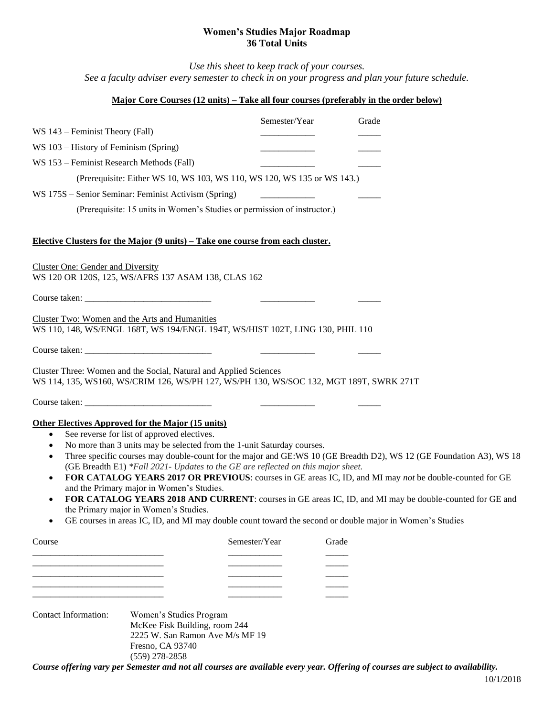## **Women's Studies Major Roadmap 36 Total Units**

*Use this sheet to keep track of your courses. See a faculty adviser every semester to check in on your progress and plan your future schedule.*

## **Major Core Courses (12 units) – Take all four courses (preferably in the order below)**

|                                                                                                                                                                                                                                                                                                                                                                                                                                                                                                                                                                                                                                                                                                                                                                                                                                                                                       | Semester/Year                                            | Grade |  |
|---------------------------------------------------------------------------------------------------------------------------------------------------------------------------------------------------------------------------------------------------------------------------------------------------------------------------------------------------------------------------------------------------------------------------------------------------------------------------------------------------------------------------------------------------------------------------------------------------------------------------------------------------------------------------------------------------------------------------------------------------------------------------------------------------------------------------------------------------------------------------------------|----------------------------------------------------------|-------|--|
| WS 143 – Feminist Theory (Fall)                                                                                                                                                                                                                                                                                                                                                                                                                                                                                                                                                                                                                                                                                                                                                                                                                                                       |                                                          |       |  |
| WS 103 – History of Feminism (Spring)                                                                                                                                                                                                                                                                                                                                                                                                                                                                                                                                                                                                                                                                                                                                                                                                                                                 |                                                          |       |  |
| WS 153 – Feminist Research Methods (Fall)                                                                                                                                                                                                                                                                                                                                                                                                                                                                                                                                                                                                                                                                                                                                                                                                                                             |                                                          |       |  |
| (Prerequisite: Either WS 10, WS 103, WS 110, WS 120, WS 135 or WS 143.)                                                                                                                                                                                                                                                                                                                                                                                                                                                                                                                                                                                                                                                                                                                                                                                                               |                                                          |       |  |
| WS 175S – Senior Seminar: Feminist Activism (Spring)                                                                                                                                                                                                                                                                                                                                                                                                                                                                                                                                                                                                                                                                                                                                                                                                                                  |                                                          |       |  |
| (Prerequisite: 15 units in Women's Studies or permission of instructor.)                                                                                                                                                                                                                                                                                                                                                                                                                                                                                                                                                                                                                                                                                                                                                                                                              |                                                          |       |  |
| Elective Clusters for the Major (9 units) – Take one course from each cluster.                                                                                                                                                                                                                                                                                                                                                                                                                                                                                                                                                                                                                                                                                                                                                                                                        |                                                          |       |  |
| <b>Cluster One: Gender and Diversity</b><br>WS 120 OR 120S, 125, WS/AFRS 137 ASAM 138, CLAS 162                                                                                                                                                                                                                                                                                                                                                                                                                                                                                                                                                                                                                                                                                                                                                                                       |                                                          |       |  |
| Course taken:                                                                                                                                                                                                                                                                                                                                                                                                                                                                                                                                                                                                                                                                                                                                                                                                                                                                         |                                                          |       |  |
| Cluster Two: Women and the Arts and Humanities<br>WS 110, 148, WS/ENGL 168T, WS 194/ENGL 194T, WS/HIST 102T, LING 130, PHIL 110                                                                                                                                                                                                                                                                                                                                                                                                                                                                                                                                                                                                                                                                                                                                                       |                                                          |       |  |
|                                                                                                                                                                                                                                                                                                                                                                                                                                                                                                                                                                                                                                                                                                                                                                                                                                                                                       | <u> 1986 - Jan Samuel Barbara, martin a shekara 1980</u> |       |  |
| Cluster Three: Women and the Social, Natural and Applied Sciences<br>WS 114, 135, WS160, WS/CRIM 126, WS/PH 127, WS/PH 130, WS/SOC 132, MGT 189T, SWRK 271T                                                                                                                                                                                                                                                                                                                                                                                                                                                                                                                                                                                                                                                                                                                           |                                                          |       |  |
|                                                                                                                                                                                                                                                                                                                                                                                                                                                                                                                                                                                                                                                                                                                                                                                                                                                                                       |                                                          |       |  |
| <b>Other Electives Approved for the Major (15 units)</b><br>See reverse for list of approved electives.<br>$\bullet$<br>No more than 3 units may be selected from the 1-unit Saturday courses.<br>$\bullet$<br>Three specific courses may double-count for the major and GE:WS 10 (GE Breadth D2), WS 12 (GE Foundation A3), WS 18<br>$\bullet$<br>(GE Breadth E1) *Fall 2021- Updates to the GE are reflected on this major sheet.<br>FOR CATALOG YEARS 2017 OR PREVIOUS: courses in GE areas IC, ID, and MI may not be double-counted for GE<br>$\bullet$<br>and the Primary major in Women's Studies.<br>FOR CATALOG YEARS 2018 AND CURRENT: courses in GE areas IC, ID, and MI may be double-counted for GE and<br>$\bullet$<br>the Primary major in Women's Studies.<br>GE courses in areas IC, ID, and MI may double count toward the second or double major in Women's Studies |                                                          |       |  |
| Course                                                                                                                                                                                                                                                                                                                                                                                                                                                                                                                                                                                                                                                                                                                                                                                                                                                                                | Semester/Year                                            | Grade |  |
|                                                                                                                                                                                                                                                                                                                                                                                                                                                                                                                                                                                                                                                                                                                                                                                                                                                                                       |                                                          |       |  |
|                                                                                                                                                                                                                                                                                                                                                                                                                                                                                                                                                                                                                                                                                                                                                                                                                                                                                       |                                                          |       |  |
|                                                                                                                                                                                                                                                                                                                                                                                                                                                                                                                                                                                                                                                                                                                                                                                                                                                                                       |                                                          |       |  |
|                                                                                                                                                                                                                                                                                                                                                                                                                                                                                                                                                                                                                                                                                                                                                                                                                                                                                       |                                                          |       |  |
| Contact Information:<br>Women's Studies Program<br>McKee Fisk Building, room 244<br>2225 W. San Ramon Ave M/s MF 19<br>Fresno, CA 93740                                                                                                                                                                                                                                                                                                                                                                                                                                                                                                                                                                                                                                                                                                                                               |                                                          |       |  |

(559) 278-2858

*Course offering vary per Semester and not all courses are available every year. Offering of courses are subject to availability.*